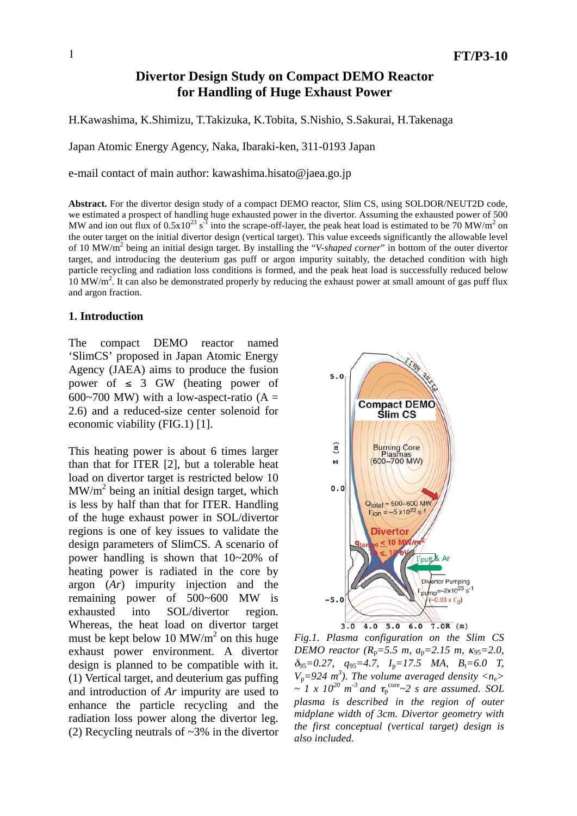# **Divertor Design Study on Compact DEMO Reactor for Handling of Huge Exhaust Power**

H.Kawashima, K.Shimizu, T.Takizuka, K.Tobita, S.Nishio, S.Sakurai, H.Takenaga

Japan Atomic Energy Agency, Naka, Ibaraki-ken, 311-0193 Japan

e-mail contact of main author: kawashima.hisato@jaea.go.jp

**Abstract.** For the divertor design study of a compact DEMO reactor, Slim CS, using SOLDOR/NEUT2D code, we estimated a prospect of handling huge exhausted power in the divertor. Assuming the exhausted power of 500 MW and ion out flux of  $0.5x10^{23}$  s<sup>-1</sup> into the scrape-off-layer, the peak heat load is estimated to be 70 MW/m<sup>2</sup> on the outer target on the initial divertor design (vertical target). This value exceeds significantly the allowable level of 10 MW/m<sup>2</sup> being an initial design target. By installing the "*V-shaped corner*" in bottom of the outer divertor target, and introducing the deuterium gas puff or argon impurity suitably, the detached condition with high particle recycling and radiation loss conditions is formed, and the peak heat load is successfully reduced below 10 MW/m<sup>2</sup>. It can also be demonstrated properly by reducing the exhaust power at small amount of gas puff flux and argon fraction.

## **1. Introduction**

The compact DEMO reactor named 'SlimCS' proposed in Japan Atomic Energy Agency (JAEA) aims to produce the fusion power of  $\leq$  3 GW (heating power of 600~700 MW) with a low-aspect-ratio  $(A =$ 2.6) and a reduced-size center solenoid for economic viability (FIG.1) [1].

This heating power is about 6 times larger than that for ITER [2], but a tolerable heat load on divertor target is restricted below 10  $MW/m<sup>2</sup>$  being an initial design target, which is less by half than that for ITER. Handling of the huge exhaust power in SOL/divertor regions is one of key issues to validate the design parameters of SlimCS. A scenario of power handling is shown that 10~20% of heating power is radiated in the core by argon (*Ar*) impurity injection and the remaining power of 500~600 MW is exhausted into SOL/divertor region. Whereas, the heat load on divertor target must be kept below 10 MW/ $m<sup>2</sup>$  on this huge exhaust power environment. A divertor design is planned to be compatible with it. (1) Vertical target, and deuterium gas puffing and introduction of *Ar* impurity are used to enhance the particle recycling and the radiation loss power along the divertor leg. (2) Recycling neutrals of ~3% in the divertor



*Fig.1. Plasma configuration on the Slim CS DEMO reactor* ( $R_p = 5.5$  *m,*  $a_p = 2.15$  *m,*  $\kappa_{95} = 2.0$ , 95*=0.27, q*95*=4.7, I*p*=17.5 MA, B*t*=6.0 T,*  $V_p = 924 \text{ m}^3$ ). The volume averaged density  $\langle n_e \rangle$  $\sim I \times 10^{20}$  m<sup>-3</sup> and  $\tau_p^{\text{core}}$   $\sim$  2 s are assumed. SOL *plasma is described in the region of outer midplane width of 3cm. Divertor geometry with the first conceptual (vertical target) design is also included.*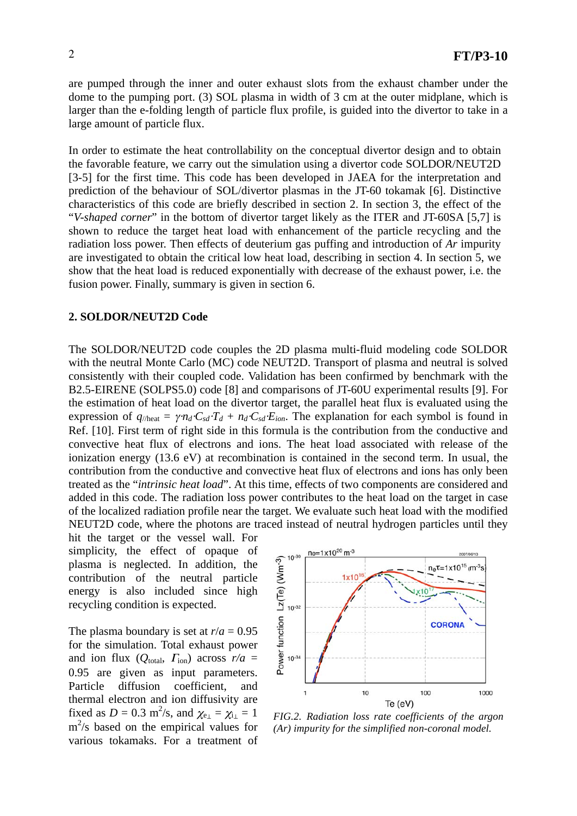are pumped through the inner and outer exhaust slots from the exhaust chamber under the dome to the pumping port. (3) SOL plasma in width of 3 cm at the outer midplane, which is larger than the e-folding length of particle flux profile, is guided into the divertor to take in a large amount of particle flux.

In order to estimate the heat controllability on the conceptual divertor design and to obtain the favorable feature, we carry out the simulation using a divertor code SOLDOR/NEUT2D [3-5] for the first time. This code has been developed in JAEA for the interpretation and prediction of the behaviour of SOL/divertor plasmas in the JT-60 tokamak [6]. Distinctive characteristics of this code are briefly described in section 2. In section 3, the effect of the "*V-shaped corner*" in the bottom of divertor target likely as the ITER and JT-60SA [5,7] is shown to reduce the target heat load with enhancement of the particle recycling and the radiation loss power. Then effects of deuterium gas puffing and introduction of *Ar* impurity are investigated to obtain the critical low heat load, describing in section 4. In section 5, we show that the heat load is reduced exponentially with decrease of the exhaust power, i.e. the fusion power. Finally, summary is given in section 6.

### **2. SOLDOR/NEUT2D Code**

The SOLDOR/NEUT2D code couples the 2D plasma multi-fluid modeling code SOLDOR with the neutral Monte Carlo (MC) code NEUT2D. Transport of plasma and neutral is solved consistently with their coupled code. Validation has been confirmed by benchmark with the B2.5-EIRENE (SOLPS5.0) code [8] and comparisons of JT-60U experimental results [9]. For the estimation of heat load on the divertor target, the parallel heat flux is evaluated using the expression of  $q_{\text{l/heat}} = \gamma n_d \cdot C_{sd} \cdot T_d + n_d \cdot C_{sd} \cdot E_{ion}$ . The explanation for each symbol is found in Ref. [10]. First term of right side in this formula is the contribution from the conductive and convective heat flux of electrons and ions. The heat load associated with release of the ionization energy (13.6 eV) at recombination is contained in the second term. In usual, the contribution from the conductive and convective heat flux of electrons and ions has only been treated as the "*intrinsic heat load*". At this time, effects of two components are considered and added in this code. The radiation loss power contributes to the heat load on the target in case of the localized radiation profile near the target. We evaluate such heat load with the modified NEUT2D code, where the photons are traced instead of neutral hydrogen particles until they

hit the target or the vessel wall. For simplicity, the effect of opaque of plasma is neglected. In addition, the contribution of the neutral particle energy is also included since high recycling condition is expected.

The plasma boundary is set at  $r/a = 0.95$ for the simulation. Total exhaust power and ion flux ( $Q_{total}$ ,  $\Gamma_{ion}$ ) across  $r/a$  = 0.95 are given as input parameters. Particle diffusion coefficient, and thermal electron and ion diffusivity are fixed as  $D = 0.3$  m<sup>2</sup>/s, and  $\chi_{e_{\perp}} = \chi_{i_{\perp}} = 1$ m 2 /s based on the empirical values for various tokamaks. For a treatment of



*FIG.2. Radiation loss rate coefficients of the argon (Ar) impurity for the simplified non-coronal model.*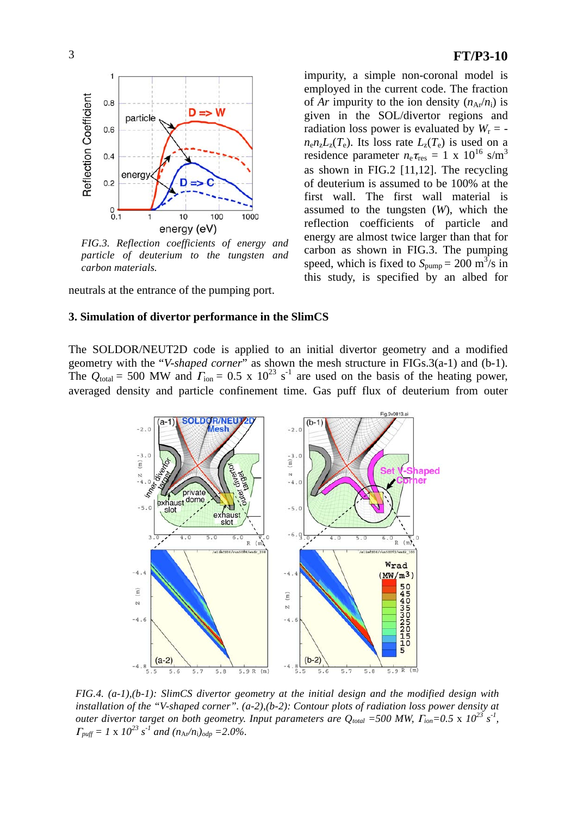

*FIG.3. Reflection coefficients of energy and particle of deuterium to the tungsten and carbon materials.* 

neutrals at the entrance of the pumping port.

### **3. Simulation of divertor performance in the SlimCS**

The SOLDOR/NEUT2D code is applied to an initial divertor geometry and a modified geometry with the "*V-shaped corner*" as shown the mesh structure in FIGs.3(a-1) and (b-1). The  $Q_{\text{total}} = 500$  MW and  $\Gamma_{\text{ion}} = 0.5 \times 10^{23} \text{ s}^{-1}$  are used on the basis of the heating power, averaged density and particle confinement time. Gas puff flux of deuterium from outer



*FIG.4. (a-1),(b-1): SlimCS divertor geometry at the initial design and the modified design with installation of the "V-shaped corner". (a-2),(b-2): Contour plots of radiation loss power density at outer divertor target on both geometry. Input parameters are*  $Q_{total} = 500$  *MW,*  $\Gamma_{ion} = 0.5 \times 10^{23}$  *s<sup>-1</sup>,*  $\Gamma_{\text{puff}} = 1 \times 10^{23} \text{ s}^{-1}$  and  $(n_{\text{Ar}}/n_i)_{\text{odp}} = 2.0\%$ .

## 3 **FT/P3-10**

impurity, a simple non-coronal model is employed in the current code. The fraction of *Ar* impurity to the ion density  $(n_{Ar}/n_i)$  is given in the SOL/divertor regions and radiation loss power is evaluated by  $W_r =$  $n_{e}n_{z}L_{z}(T_{e})$ . Its loss rate  $L_{z}(T_{e})$  is used on a residence parameter  $n_e \tau_{res} = 1 \times 10^{16} \text{ s/m}^3$ as shown in FIG.2 [11,12]. The recycling of deuterium is assumed to be 100% at the first wall. The first wall material is assumed to the tungsten (*W*), which the reflection coefficients of particle and energy are almost twice larger than that for carbon as shown in FIG.3. The pumping speed, which is fixed to  $S_{\text{pump}} = 200 \text{ m}^3\text{/s}$  in this study, is specified by an albed for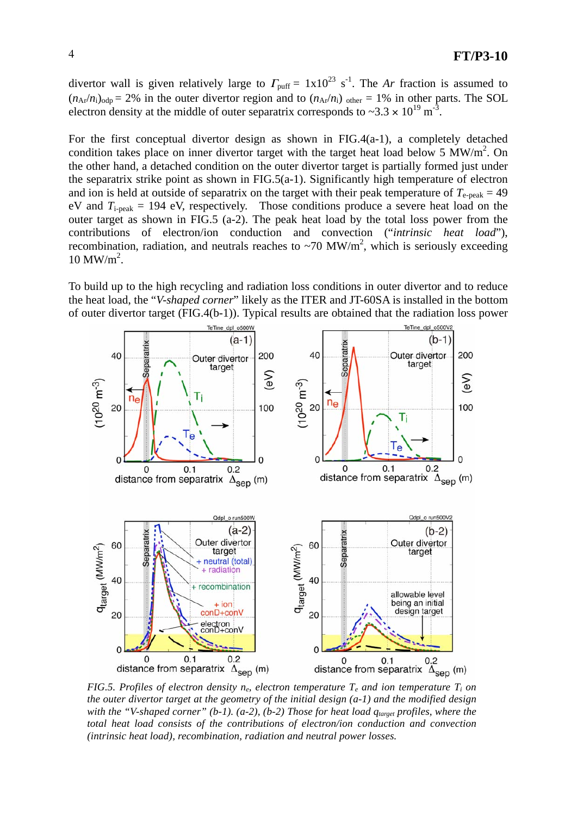divertor wall is given relatively large to  $\Gamma_{\text{puff}} = 1 \times 10^{23} \text{ s}^{-1}$ . The *Ar* fraction is assumed to  $(n_{Ar}/n_i)_{odp} = 2\%$  in the outer divertor region and to  $(n_{Ar}/n_i)_{odh} = 1\%$  in other parts. The SOL electron density at the middle of outer separatrix corresponds to  $\approx 3.3 \times 10^{19}$  m<sup>-3</sup>.

For the first conceptual divertor design as shown in FIG.4(a-1), a completely detached condition takes place on inner divertor target with the target heat load below 5  $\text{MW/m}^2$ . On the other hand, a detached condition on the outer divertor target is partially formed just under the separatrix strike point as shown in FIG.5(a-1). Significantly high temperature of electron and ion is held at outside of separatrix on the target with their peak temperature of  $T_{e-peak} = 49$ eV and  $T_{i-peak} = 194$  eV, respectively. Those conditions produce a severe heat load on the outer target as shown in FIG.5 (a-2). The peak heat load by the total loss power from the contributions of electron/ion conduction and convection ("*intrinsic heat load*"), recombination, radiation, and neutrals reaches to  $\sim$ 70 MW/m<sup>2</sup>, which is seriously exceeding  $10 \text{ MW/m}^2$ .

To build up to the high recycling and radiation loss conditions in outer divertor and to reduce the heat load, the "*V-shaped corner*" likely as the ITER and JT-60SA is installed in the bottom of outer divertor target (FIG.4(b-1)). Typical results are obtained that the radiation loss power



*FIG.5. Profiles of electron density n<sub>e</sub>, electron temperature*  $T_e$  *and ion temperature*  $T_i$  *on the outer divertor target at the geometry of the initial design (a-1) and the modified design* with the "V-shaped corner" (b-1). (a-2), (b-2) Those for heat load  $q_{\text{target}}$  profiles, where the *total heat load consists of the contributions of electron/ion conduction and convection (intrinsic heat load), recombination, radiation and neutral power losses.*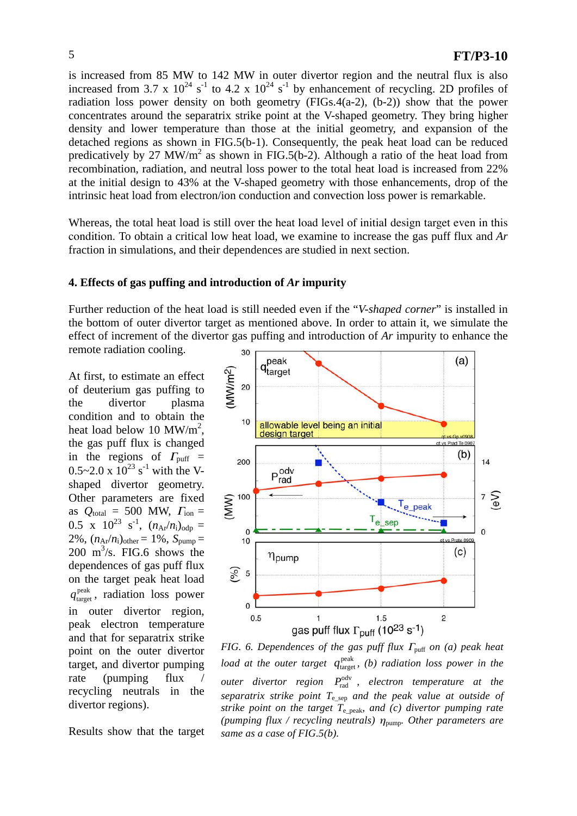is increased from 85 MW to 142 MW in outer divertor region and the neutral flux is also increased from 3.7 x  $10^{24}$  s<sup>-1</sup> to 4.2 x  $10^{24}$  s<sup>-1</sup> by enhancement of recycling. 2D profiles of radiation loss power density on both geometry  $(FIGs.4(a-2), (b-2))$  show that the power concentrates around the separatrix strike point at the V-shaped geometry. They bring higher density and lower temperature than those at the initial geometry, and expansion of the detached regions as shown in FIG.5(b-1). Consequently, the peak heat load can be reduced predicatively by 27 MW/ $m^2$  as shown in FIG.5(b-2). Although a ratio of the heat load from recombination, radiation, and neutral loss power to the total heat load is increased from 22% at the initial design to 43% at the V-shaped geometry with those enhancements, drop of the intrinsic heat load from electron/ion conduction and convection loss power is remarkable.

Whereas, the total heat load is still over the heat load level of initial design target even in this condition. To obtain a critical low heat load, we examine to increase the gas puff flux and *Ar* fraction in simulations, and their dependences are studied in next section.

### **4. Effects of gas puffing and introduction of** *Ar* **impurity**

Further reduction of the heat load is still needed even if the "*V-shaped corner*" is installed in the bottom of outer divertor target as mentioned above. In order to attain it, we simulate the effect of increment of the divertor gas puffing and introduction of *Ar* impurity to enhance the remote radiation cooling. 30

At first, to estimate an effect of deuterium gas puffing to the divertor plasma condition and to obtain the heat load below 10  $MW/m^2$ , the gas puff flux is changed in the regions of  $\Gamma_{\text{puff}}$  =  $0.5 \sim 2.0 \times 10^{23}$  s<sup>-1</sup> with the Vshaped divertor geometry. Other parameters are fixed as  $Q_{\text{total}} = 500$  MW,  $\Gamma_{\text{ion}} =$ 0.5 x  $10^{23}$  s<sup>-1</sup>,  $(n_{Ar}/n_i)_{odp}$  = 2%,  $(n_{Ar}/n_i)_{other} = 1\%$ ,  $S_{pump} =$  $200 \text{ m}^3\text{/s}$ . FIG.6 shows the dependences of gas puff flux on the target peak heat load  $q_{\text{target}}^{\text{peak}}$ , radiation loss power in outer divertor region, peak electron temperature and that for separatrix strike point on the outer divertor target, and divertor pumping rate (pumping flux / recycling neutrals in the divertor regions).

Results show that the target



*FIG. 6. Dependences of the gas puff flux*  $\Gamma_{\text{puff}}$  *on (a) peak heat load at the outer target*  $q_{\text{target}}^{\text{peak}}$ *, (b) radiation loss power in the* outer divertor region  $P_{\text{rad}}^{\text{odv}}$ , electron temperature at the *separatrix strike point*  $T_{e \text{ sep}}$  *and the peak value at outside of strike point on the target T*e\_peak*, and (c) divertor pumping rate* (pumping flux / recycling neutrals)  $\eta_{\text{pump}}$ . Other parameters are *same as a case of FIG.5(b).*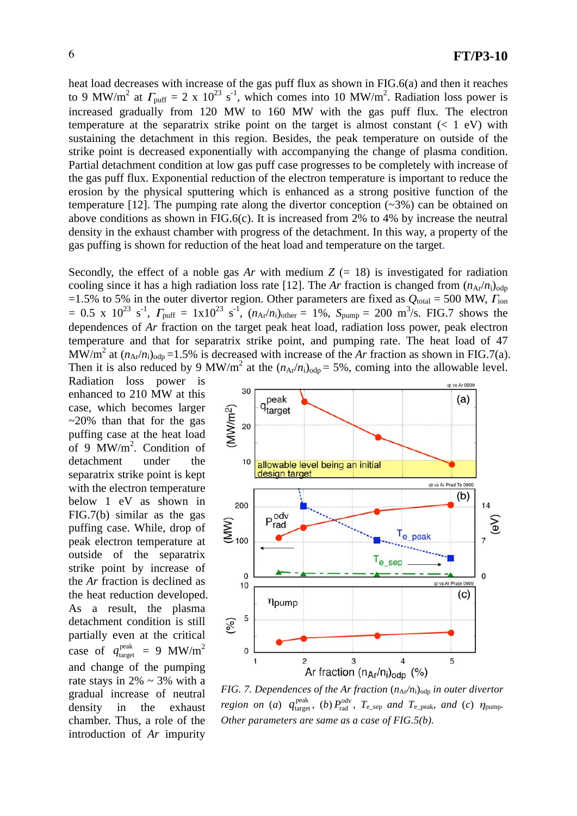heat load decreases with increase of the gas puff flux as shown in FIG.6(a) and then it reaches to 9 MW/m<sup>2</sup> at  $\Gamma_{\text{puff}} = 2 \times 10^{23} \text{ s}^{-1}$ , which comes into 10 MW/m<sup>2</sup>. Radiation loss power is increased gradually from 120 MW to 160 MW with the gas puff flux. The electron temperature at the separatrix strike point on the target is almost constant  $(< 1$  eV) with sustaining the detachment in this region. Besides, the peak temperature on outside of the strike point is decreased exponentially with accompanying the change of plasma condition. Partial detachment condition at low gas puff case progresses to be completely with increase of the gas puff flux. Exponential reduction of the electron temperature is important to reduce the erosion by the physical sputtering which is enhanced as a strong positive function of the temperature [12]. The pumping rate along the divertor conception (~3%) can be obtained on above conditions as shown in FIG.6(c). It is increased from 2% to 4% by increase the neutral density in the exhaust chamber with progress of the detachment. In this way, a property of the gas puffing is shown for reduction of the heat load and temperature on the target.

Secondly, the effect of a noble gas  $Ar$  with medium  $Z = 18$ ) is investigated for radiation cooling since it has a high radiation loss rate [12]. The *Ar* fraction is changed from  $(n_{Ar}/n_{i})_{\text{odp}}$ =1.5% to 5% in the outer divertor region. Other parameters are fixed as  $Q_{\text{total}} = 500$  MW,  $\Gamma_{\text{ion}}$  $= 0.5 \times 10^{23} \text{ s}^{-1}$ ,  $\Gamma_{\text{puff}} = 1 \times 10^{23} \text{ s}^{-1}$ ,  $(n_{Ar}/n_i)_{other} = 1\%$ ,  $S_{\text{pump}} = 200 \text{ m}^3\text{/s}$ . FIG.7 shows the dependences of *Ar* fraction on the target peak heat load, radiation loss power, peak electron temperature and that for separatrix strike point, and pumping rate. The heat load of 47 MW/m<sup>2</sup> at  $(n_{Ar}/n_{i})_{odp} = 1.5\%$  is decreased with increase of the *Ar* fraction as shown in FIG.7(a). Then it is also reduced by 9 MW/m<sup>2</sup> at the  $(n_{Ar}/n_i)_{odp} = 5\%$ , coming into the allowable level.

Radiation loss power is enhanced to 210 MW at this case, which becomes larger  $\approx$  20% than that for the gas puffing case at the heat load of 9  $\text{MW/m}^2$ . Condition of detachment under the separatrix strike point is kept with the electron temperature below 1 eV as shown in FIG.7(b) similar as the gas puffing case. While, drop of peak electron temperature at outside of the separatrix strike point by increase of the *Ar* fraction is declined as the heat reduction developed. As a result, the plasma detachment condition is still partially even at the critical case of  $q_{\text{target}}^{\text{peak}} = 9 \text{ MW/m}^2$ and change of the pumping rate stays in  $2\% \sim 3\%$  with a gradual increase of neutral density in the exhaust chamber. Thus, a role of the introduction of *Ar* impurity



*FIG. 7. Dependences of the Ar fraction*  $(n_{Ar}/n_i)_{\text{odp}}$  *in outer divertor region on (a)*  $q_{\text{target}}^{\text{peak}}$ , (*b*)  $P_{\text{rad}}^{\text{odv}}$ ,  $T_{\text{e\_sep}}$  and  $T_{\text{e\_peak}}$ , and (*c*)  $\eta_{\text{pump}}$ . *Other parameters are same as a case of FIG.5(b).*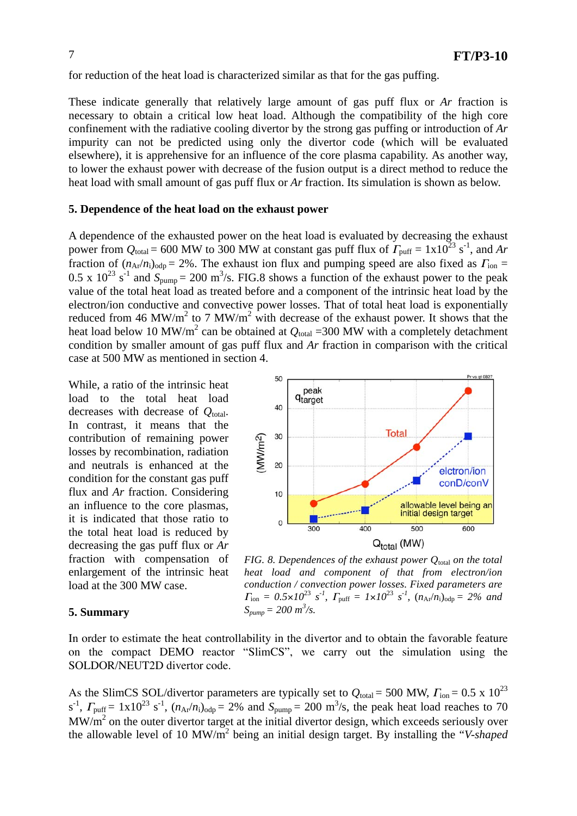for reduction of the heat load is characterized similar as that for the gas puffing.

These indicate generally that relatively large amount of gas puff flux or *Ar* fraction is necessary to obtain a critical low heat load. Although the compatibility of the high core confinement with the radiative cooling divertor by the strong gas puffing or introduction of *Ar* impurity can not be predicted using only the divertor code (which will be evaluated elsewhere), it is apprehensive for an influence of the core plasma capability. As another way, to lower the exhaust power with decrease of the fusion output is a direct method to reduce the heat load with small amount of gas puff flux or *Ar* fraction. Its simulation is shown as below.

#### **5. Dependence of the heat load on the exhaust power**

A dependence of the exhausted power on the heat load is evaluated by decreasing the exhaust power from  $Q_{\text{total}} = 600$  MW to 300 MW at constant gas puff flux of  $\Gamma_{\text{puff}} = 1 \times 10^{23} \text{ s}^{-1}$ , and Ar fraction of  $(n_{Ar}/n_i)_{odp} = 2\%$ . The exhaust ion flux and pumping speed are also fixed as  $\Gamma_{ion} =$ 0.5 x  $10^{23}$  s<sup>-1</sup> and  $S_{\text{pump}} = 200$  m<sup>3</sup>/s. FIG.8 shows a function of the exhaust power to the peak value of the total heat load as treated before and a component of the intrinsic heat load by the electron/ion conductive and convective power losses. That of total heat load is exponentially reduced from 46 MW/m<sup>2</sup> to 7 MW/m<sup>2</sup> with decrease of the exhaust power. It shows that the heat load below 10 MW/m<sup>2</sup> can be obtained at  $Q_{\text{total}} = 300$  MW with a completely detachment condition by smaller amount of gas puff flux and *Ar* fraction in comparison with the critical case at 500 MW as mentioned in section 4.

50

While, a ratio of the intrinsic heat load to the total heat load decreases with decrease of  $Q_{total}$ . In contrast, it means that the contribution of remaining power losses by recombination, radiation and neutrals is enhanced at the condition for the constant gas puff flux and *Ar* fraction. Considering an influence to the core plasmas, it is indicated that those ratio to the total heat load is reduced by decreasing the gas puff flux or *Ar* fraction with compensation of enlargement of the intrinsic heat load at the 300 MW case.

#### peak q<sub>target</sub> 40 **Total** 30  $MW/m<sup>2</sup>$ 20 elctron/ion conD/conV 10 allowable level being an initial design target  $\mathbf 0$ 500 400 300 600  $Q_{total}$  (MW)

*FIG. 8. Dependences of the exhaust power Q<sub>total</sub> on the total heat load and component of that from electron/ion conduction / convection power losses. Fixed parameters are*  $\Gamma_{\text{ion}} = 0.5 \times 10^{23} \text{ s}^{-1}$ ,  $\Gamma_{\text{puff}} = 1 \times 10^{23} \text{ s}^{-1}$ ,  $(n_{\text{Ar}}/n_{\text{i}})_{\text{odp}} = 2\%$  and  $S_{pump} = 200 \frac{m^3}{s}$ .

### **5. Summary**

In order to estimate the heat controllability in the divertor and to obtain the favorable feature on the compact DEMO reactor "SlimCS", we carry out the simulation using the SOLDOR/NEUT2D divertor code.

As the SlimCS SOL/divertor parameters are typically set to  $Q_{\text{total}} = 500 \text{ MW}$ ,  $\Gamma_{\text{ion}} = 0.5 \times 10^{23}$  $s^{-1}$ ,  $\Gamma_{\text{puff}} = 1x10^{23} \text{ s}^{-1}$ ,  $(n_{Ar}/n_i)_{\text{odp}} = 2\%$  and  $S_{\text{pump}} = 200 \text{ m}^3/\text{s}$ , the peak heat load reaches to 70  $MW/m<sup>2</sup>$  on the outer divertor target at the initial divertor design, which exceeds seriously over the allowable level of 10 MW/m2 being an initial design target. By installing the "*V-shaped*